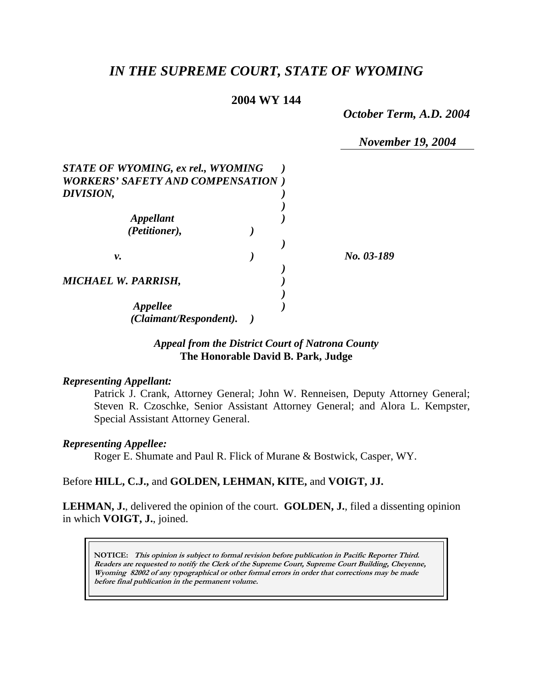# *IN THE SUPREME COURT, STATE OF WYOMING*

### **2004 WY 144**

*October Term, A.D. 2004* 

*November 19, 2004* 

| STATE OF WYOMING, ex rel., WYOMING<br><b>WORKERS' SAFETY AND COMPENSATION</b> ) |  |            |
|---------------------------------------------------------------------------------|--|------------|
| DIVISION,                                                                       |  |            |
| Appellant<br>(Petitioner),                                                      |  |            |
|                                                                                 |  |            |
| ν.                                                                              |  | No. 03-189 |
| <b>MICHAEL W. PARRISH,</b>                                                      |  |            |
| Appellee<br>(Claimant/Respondent).                                              |  |            |

### *Appeal from the District Court of Natrona County* **The Honorable David B. Park, Judge**

#### *Representing Appellant:*

Patrick J. Crank, Attorney General; John W. Renneisen, Deputy Attorney General; Steven R. Czoschke, Senior Assistant Attorney General; and Alora L. Kempster, Special Assistant Attorney General.

#### *Representing Appellee:*

Roger E. Shumate and Paul R. Flick of Murane & Bostwick, Casper, WY.

#### Before **HILL, C.J.,** and **GOLDEN, LEHMAN, KITE,** and **VOIGT, JJ.**

**LEHMAN, J.**, delivered the opinion of the court. **GOLDEN, J.**, filed a dissenting opinion in which **VOIGT, J.**, joined.

**NOTICE: This opinion is subject to formal revision before publication in Pacific Reporter Third. Readers are requested to notify the Clerk of the Supreme Court, Supreme Court Building, Cheyenne, Wyoming 82002 of any typographical or other formal errors in order that corrections may be made before final publication in the permanent volume.**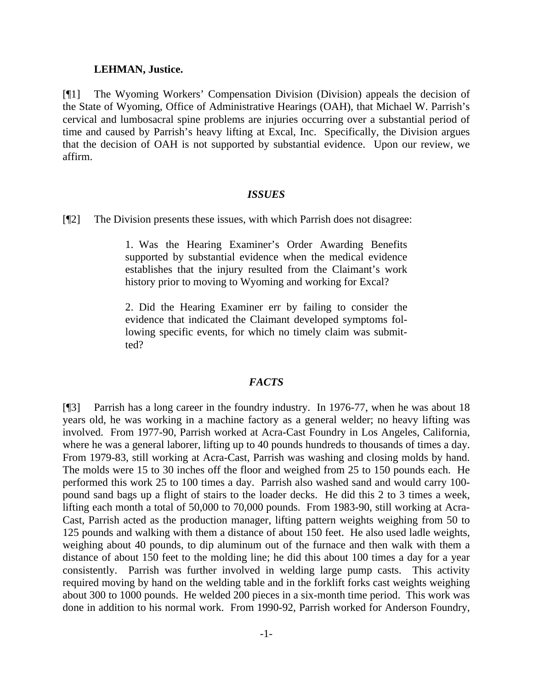#### **LEHMAN, Justice.**

[¶1] The Wyoming Workers' Compensation Division (Division) appeals the decision of the State of Wyoming, Office of Administrative Hearings (OAH), that Michael W. Parrish's cervical and lumbosacral spine problems are injuries occurring over a substantial period of time and caused by Parrish's heavy lifting at Excal, Inc. Specifically, the Division argues that the decision of OAH is not supported by substantial evidence. Upon our review, we affirm.

#### *ISSUES*

[¶2] The Division presents these issues, with which Parrish does not disagree:

1. Was the Hearing Examiner's Order Awarding Benefits supported by substantial evidence when the medical evidence establishes that the injury resulted from the Claimant's work history prior to moving to Wyoming and working for Excal?

2. Did the Hearing Examiner err by failing to consider the evidence that indicated the Claimant developed symptoms following specific events, for which no timely claim was submitted?

#### *FACTS*

[¶3] Parrish has a long career in the foundry industry. In 1976-77, when he was about 18 years old, he was working in a machine factory as a general welder; no heavy lifting was involved. From 1977-90, Parrish worked at Acra-Cast Foundry in Los Angeles, California, where he was a general laborer, lifting up to 40 pounds hundreds to thousands of times a day. From 1979-83, still working at Acra-Cast, Parrish was washing and closing molds by hand. The molds were 15 to 30 inches off the floor and weighed from 25 to 150 pounds each. He performed this work 25 to 100 times a day. Parrish also washed sand and would carry 100 pound sand bags up a flight of stairs to the loader decks. He did this 2 to 3 times a week, lifting each month a total of 50,000 to 70,000 pounds. From 1983-90, still working at Acra-Cast, Parrish acted as the production manager, lifting pattern weights weighing from 50 to 125 pounds and walking with them a distance of about 150 feet. He also used ladle weights, weighing about 40 pounds, to dip aluminum out of the furnace and then walk with them a distance of about 150 feet to the molding line; he did this about 100 times a day for a year consistently. Parrish was further involved in welding large pump casts. This activity required moving by hand on the welding table and in the forklift forks cast weights weighing about 300 to 1000 pounds. He welded 200 pieces in a six-month time period. This work was done in addition to his normal work. From 1990-92, Parrish worked for Anderson Foundry,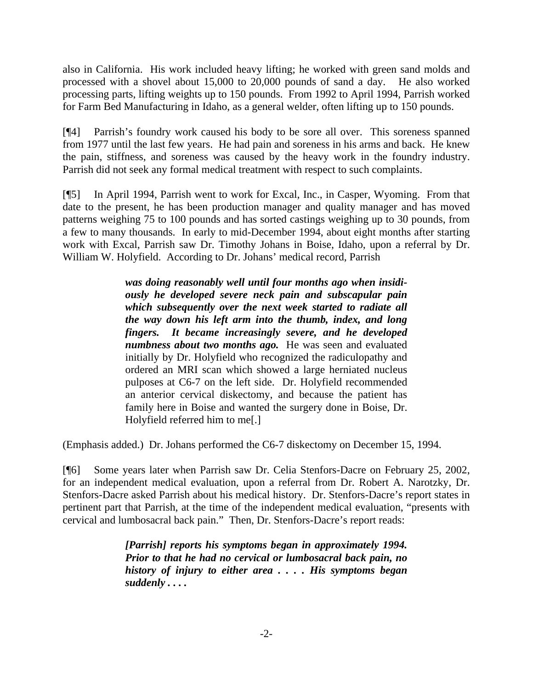also in California. His work included heavy lifting; he worked with green sand molds and processed with a shovel about 15,000 to 20,000 pounds of sand a day. He also worked processing parts, lifting weights up to 150 pounds. From 1992 to April 1994, Parrish worked for Farm Bed Manufacturing in Idaho, as a general welder, often lifting up to 150 pounds.

[¶4] Parrish's foundry work caused his body to be sore all over. This soreness spanned from 1977 until the last few years. He had pain and soreness in his arms and back. He knew the pain, stiffness, and soreness was caused by the heavy work in the foundry industry. Parrish did not seek any formal medical treatment with respect to such complaints.

[¶5] In April 1994, Parrish went to work for Excal, Inc., in Casper, Wyoming. From that date to the present, he has been production manager and quality manager and has moved patterns weighing 75 to 100 pounds and has sorted castings weighing up to 30 pounds, from a few to many thousands. In early to mid-December 1994, about eight months after starting work with Excal, Parrish saw Dr. Timothy Johans in Boise, Idaho, upon a referral by Dr. William W. Holyfield. According to Dr. Johans' medical record, Parrish

> *was doing reasonably well until four months ago when insidiously he developed severe neck pain and subscapular pain which subsequently over the next week started to radiate all the way down his left arm into the thumb, index, and long fingers. It became increasingly severe, and he developed numbness about two months ago.* He was seen and evaluated initially by Dr. Holyfield who recognized the radiculopathy and ordered an MRI scan which showed a large herniated nucleus pulposes at C6-7 on the left side. Dr. Holyfield recommended an anterior cervical diskectomy, and because the patient has family here in Boise and wanted the surgery done in Boise, Dr. Holyfield referred him to me[.]

(Emphasis added.) Dr. Johans performed the C6-7 diskectomy on December 15, 1994.

[¶6] Some years later when Parrish saw Dr. Celia Stenfors-Dacre on February 25, 2002, for an independent medical evaluation, upon a referral from Dr. Robert A. Narotzky, Dr. Stenfors-Dacre asked Parrish about his medical history. Dr. Stenfors-Dacre's report states in pertinent part that Parrish, at the time of the independent medical evaluation, "presents with cervical and lumbosacral back pain." Then, Dr. Stenfors-Dacre's report reads:

> *[Parrish] reports his symptoms began in approximately 1994. Prior to that he had no cervical or lumbosacral back pain, no history of injury to either area . . . . His symptoms began suddenly . . . .*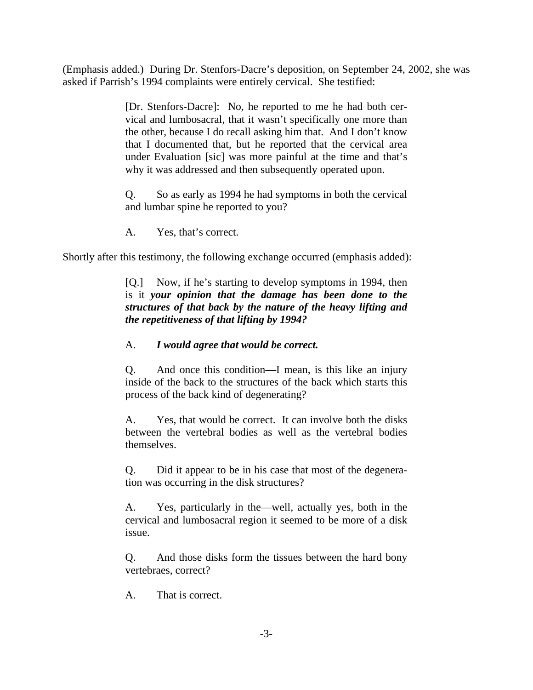(Emphasis added.) During Dr. Stenfors-Dacre's deposition, on September 24, 2002, she was asked if Parrish's 1994 complaints were entirely cervical. She testified:

> [Dr. Stenfors-Dacre]: No, he reported to me he had both cervical and lumbosacral, that it wasn't specifically one more than the other, because I do recall asking him that. And I don't know that I documented that, but he reported that the cervical area under Evaluation [sic] was more painful at the time and that's why it was addressed and then subsequently operated upon.

> Q. So as early as 1994 he had symptoms in both the cervical and lumbar spine he reported to you?

A. Yes, that's correct.

Shortly after this testimony, the following exchange occurred (emphasis added):

[Q.] Now, if he's starting to develop symptoms in 1994, then is it *your opinion that the damage has been done to the structures of that back by the nature of the heavy lifting and the repetitiveness of that lifting by 1994?*

# A. *I would agree that would be correct.*

Q. And once this condition—I mean, is this like an injury inside of the back to the structures of the back which starts this process of the back kind of degenerating?

A. Yes, that would be correct. It can involve both the disks between the vertebral bodies as well as the vertebral bodies themselves.

Q. Did it appear to be in his case that most of the degeneration was occurring in the disk structures?

A. Yes, particularly in the—well, actually yes, both in the cervical and lumbosacral region it seemed to be more of a disk issue.

Q. And those disks form the tissues between the hard bony vertebraes, correct?

A. That is correct.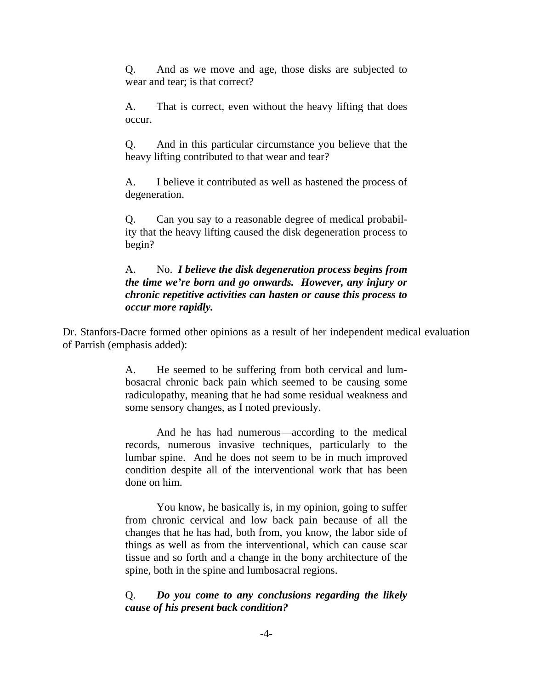Q. And as we move and age, those disks are subjected to wear and tear; is that correct?

A. That is correct, even without the heavy lifting that does occur.

Q. And in this particular circumstance you believe that the heavy lifting contributed to that wear and tear?

A. I believe it contributed as well as hastened the process of degeneration.

Q. Can you say to a reasonable degree of medical probability that the heavy lifting caused the disk degeneration process to begin?

### A. No. *I believe the disk degeneration process begins from the time we're born and go onwards. However, any injury or chronic repetitive activities can hasten or cause this process to occur more rapidly.*

Dr. Stanfors-Dacre formed other opinions as a result of her independent medical evaluation of Parrish (emphasis added):

> A. He seemed to be suffering from both cervical and lumbosacral chronic back pain which seemed to be causing some radiculopathy, meaning that he had some residual weakness and some sensory changes, as I noted previously.

> And he has had numerous—according to the medical records, numerous invasive techniques, particularly to the lumbar spine. And he does not seem to be in much improved condition despite all of the interventional work that has been done on him.

> You know, he basically is, in my opinion, going to suffer from chronic cervical and low back pain because of all the changes that he has had, both from, you know, the labor side of things as well as from the interventional, which can cause scar tissue and so forth and a change in the bony architecture of the spine, both in the spine and lumbosacral regions.

# Q. *Do you come to any conclusions regarding the likely cause of his present back condition?*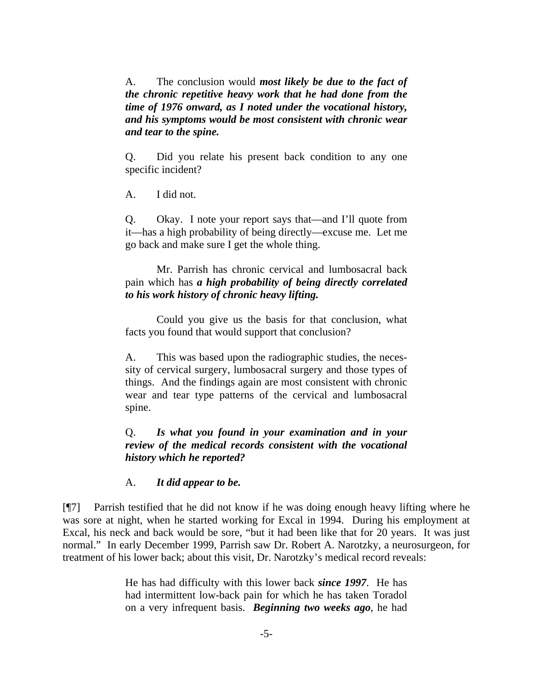A. The conclusion would *most likely be due to the fact of the chronic repetitive heavy work that he had done from the time of 1976 onward, as I noted under the vocational history, and his symptoms would be most consistent with chronic wear and tear to the spine.* 

Q. Did you relate his present back condition to any one specific incident?

A. I did not.

Q. Okay. I note your report says that—and I'll quote from it—has a high probability of being directly—excuse me. Let me go back and make sure I get the whole thing.

 Mr. Parrish has chronic cervical and lumbosacral back pain which has *a high probability of being directly correlated to his work history of chronic heavy lifting.*

 Could you give us the basis for that conclusion, what facts you found that would support that conclusion?

A. This was based upon the radiographic studies, the necessity of cervical surgery, lumbosacral surgery and those types of things. And the findings again are most consistent with chronic wear and tear type patterns of the cervical and lumbosacral spine.

# Q. *Is what you found in your examination and in your review of the medical records consistent with the vocational history which he reported?*

### A. *It did appear to be.*

[¶7] Parrish testified that he did not know if he was doing enough heavy lifting where he was sore at night, when he started working for Excal in 1994. During his employment at Excal, his neck and back would be sore, "but it had been like that for 20 years. It was just normal." In early December 1999, Parrish saw Dr. Robert A. Narotzky, a neurosurgeon, for treatment of his lower back; about this visit, Dr. Narotzky's medical record reveals:

> He has had difficulty with this lower back *since 1997*. He has had intermittent low-back pain for which he has taken Toradol on a very infrequent basis. *Beginning two weeks ago*, he had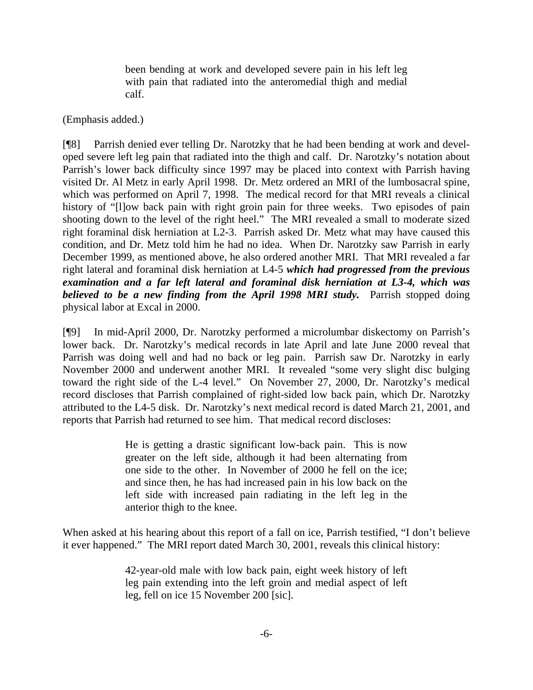been bending at work and developed severe pain in his left leg with pain that radiated into the anteromedial thigh and medial calf.

(Emphasis added.)

[¶8] Parrish denied ever telling Dr. Narotzky that he had been bending at work and developed severe left leg pain that radiated into the thigh and calf. Dr. Narotzky's notation about Parrish's lower back difficulty since 1997 may be placed into context with Parrish having visited Dr. Al Metz in early April 1998. Dr. Metz ordered an MRI of the lumbosacral spine, which was performed on April 7, 1998. The medical record for that MRI reveals a clinical history of "[l]ow back pain with right groin pain for three weeks. Two episodes of pain shooting down to the level of the right heel." The MRI revealed a small to moderate sized right foraminal disk herniation at L2-3. Parrish asked Dr. Metz what may have caused this condition, and Dr. Metz told him he had no idea. When Dr. Narotzky saw Parrish in early December 1999, as mentioned above, he also ordered another MRI. That MRI revealed a far right lateral and foraminal disk herniation at L4-5 *which had progressed from the previous examination and a far left lateral and foraminal disk herniation at L3-4, which was believed to be a new finding from the April 1998 MRI study.* Parrish stopped doing physical labor at Excal in 2000.

[¶9] In mid-April 2000, Dr. Narotzky performed a microlumbar diskectomy on Parrish's lower back. Dr. Narotzky's medical records in late April and late June 2000 reveal that Parrish was doing well and had no back or leg pain. Parrish saw Dr. Narotzky in early November 2000 and underwent another MRI. It revealed "some very slight disc bulging toward the right side of the L-4 level." On November 27, 2000, Dr. Narotzky's medical record discloses that Parrish complained of right-sided low back pain, which Dr. Narotzky attributed to the L4-5 disk. Dr. Narotzky's next medical record is dated March 21, 2001, and reports that Parrish had returned to see him. That medical record discloses:

> He is getting a drastic significant low-back pain. This is now greater on the left side, although it had been alternating from one side to the other. In November of 2000 he fell on the ice; and since then, he has had increased pain in his low back on the left side with increased pain radiating in the left leg in the anterior thigh to the knee.

When asked at his hearing about this report of a fall on ice, Parrish testified, "I don't believe it ever happened." The MRI report dated March 30, 2001, reveals this clinical history:

> 42-year-old male with low back pain, eight week history of left leg pain extending into the left groin and medial aspect of left leg, fell on ice 15 November 200 [sic].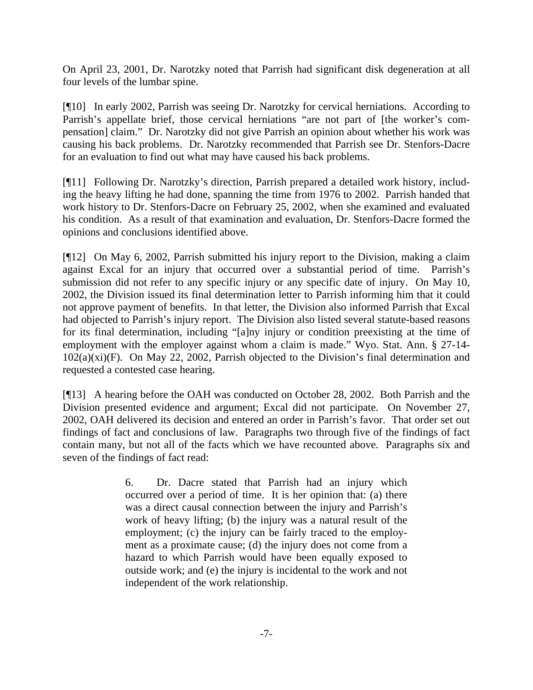On April 23, 2001, Dr. Narotzky noted that Parrish had significant disk degeneration at all four levels of the lumbar spine.

[¶10] In early 2002, Parrish was seeing Dr. Narotzky for cervical herniations. According to Parrish's appellate brief, those cervical herniations "are not part of [the worker's compensation] claim." Dr. Narotzky did not give Parrish an opinion about whether his work was causing his back problems. Dr. Narotzky recommended that Parrish see Dr. Stenfors-Dacre for an evaluation to find out what may have caused his back problems.

[¶11] Following Dr. Narotzky's direction, Parrish prepared a detailed work history, including the heavy lifting he had done, spanning the time from 1976 to 2002. Parrish handed that work history to Dr. Stenfors-Dacre on February 25, 2002, when she examined and evaluated his condition. As a result of that examination and evaluation, Dr. Stenfors-Dacre formed the opinions and conclusions identified above.

[¶12] On May 6, 2002, Parrish submitted his injury report to the Division, making a claim against Excal for an injury that occurred over a substantial period of time. Parrish's submission did not refer to any specific injury or any specific date of injury. On May 10, 2002, the Division issued its final determination letter to Parrish informing him that it could not approve payment of benefits. In that letter, the Division also informed Parrish that Excal had objected to Parrish's injury report. The Division also listed several statute-based reasons for its final determination, including "[a]ny injury or condition preexisting at the time of employment with the employer against whom a claim is made." Wyo. Stat. Ann. § 27-14-  $102(a)(xi)(F)$ . On May 22, 2002, Parrish objected to the Division's final determination and requested a contested case hearing.

[¶13] A hearing before the OAH was conducted on October 28, 2002. Both Parrish and the Division presented evidence and argument; Excal did not participate. On November 27, 2002, OAH delivered its decision and entered an order in Parrish's favor. That order set out findings of fact and conclusions of law. Paragraphs two through five of the findings of fact contain many, but not all of the facts which we have recounted above. Paragraphs six and seven of the findings of fact read:

> 6. Dr. Dacre stated that Parrish had an injury which occurred over a period of time. It is her opinion that: (a) there was a direct causal connection between the injury and Parrish's work of heavy lifting; (b) the injury was a natural result of the employment; (c) the injury can be fairly traced to the employment as a proximate cause; (d) the injury does not come from a hazard to which Parrish would have been equally exposed to outside work; and (e) the injury is incidental to the work and not independent of the work relationship.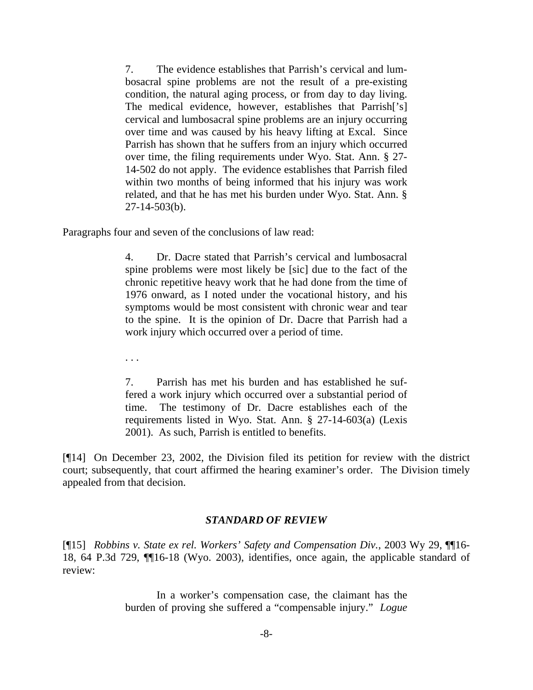7. The evidence establishes that Parrish's cervical and lumbosacral spine problems are not the result of a pre-existing condition, the natural aging process, or from day to day living. The medical evidence, however, establishes that Parrish['s] cervical and lumbosacral spine problems are an injury occurring over time and was caused by his heavy lifting at Excal. Since Parrish has shown that he suffers from an injury which occurred over time, the filing requirements under Wyo. Stat. Ann. § 27- 14-502 do not apply. The evidence establishes that Parrish filed within two months of being informed that his injury was work related, and that he has met his burden under Wyo. Stat. Ann. § 27-14-503(b).

Paragraphs four and seven of the conclusions of law read:

4. Dr. Dacre stated that Parrish's cervical and lumbosacral spine problems were most likely be [sic] due to the fact of the chronic repetitive heavy work that he had done from the time of 1976 onward, as I noted under the vocational history, and his symptoms would be most consistent with chronic wear and tear to the spine. It is the opinion of Dr. Dacre that Parrish had a work injury which occurred over a period of time.

. . .

7. Parrish has met his burden and has established he suffered a work injury which occurred over a substantial period of time. The testimony of Dr. Dacre establishes each of the requirements listed in Wyo. Stat. Ann. § 27-14-603(a) (Lexis 2001). As such, Parrish is entitled to benefits.

[¶14] On December 23, 2002, the Division filed its petition for review with the district court; subsequently, that court affirmed the hearing examiner's order. The Division timely appealed from that decision.

### *STANDARD OF REVIEW*

[¶15] *Robbins v. State ex rel. Workers' Safety and Compensation Div.*, 2003 Wy 29, ¶¶16- 18, 64 P.3d 729, ¶¶16-18 (Wyo. 2003), identifies, once again, the applicable standard of review:

> In a worker's compensation case, the claimant has the burden of proving she suffered a "compensable injury." *Logue*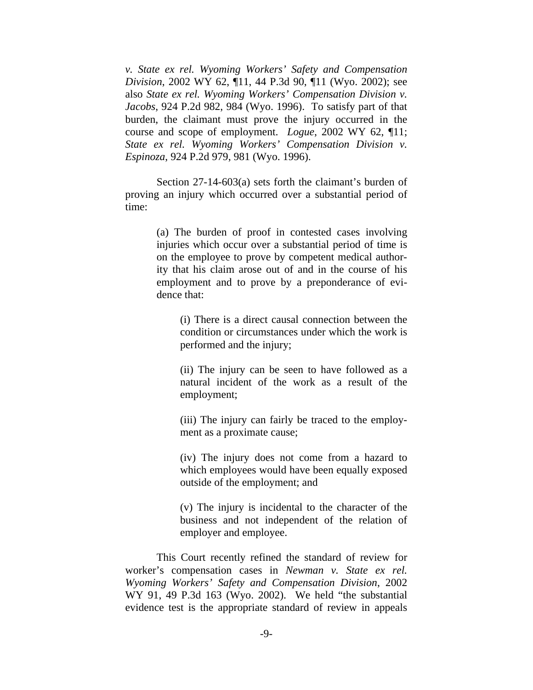*v. State ex rel. Wyoming Workers' Safety and Compensation Division*, 2002 WY 62, ¶11, 44 P.3d 90, ¶11 (Wyo. 2002); see also *State ex rel. Wyoming Workers' Compensation Division v. Jacobs*, 924 P.2d 982, 984 (Wyo. 1996). To satisfy part of that burden, the claimant must prove the injury occurred in the course and scope of employment. *Logue*, 2002 WY 62, ¶11; *State ex rel. Wyoming Workers' Compensation Division v. Espinoza*, 924 P.2d 979, 981 (Wyo. 1996).

 Section 27-14-603(a) sets forth the claimant's burden of proving an injury which occurred over a substantial period of time:

> (a) The burden of proof in contested cases involving injuries which occur over a substantial period of time is on the employee to prove by competent medical authority that his claim arose out of and in the course of his employment and to prove by a preponderance of evidence that:

(i) There is a direct causal connection between the condition or circumstances under which the work is performed and the injury;

(ii) The injury can be seen to have followed as a natural incident of the work as a result of the employment;

(iii) The injury can fairly be traced to the employment as a proximate cause;

(iv) The injury does not come from a hazard to which employees would have been equally exposed outside of the employment; and

(v) The injury is incidental to the character of the business and not independent of the relation of employer and employee.

 This Court recently refined the standard of review for worker's compensation cases in *Newman v. State ex rel. Wyoming Workers' Safety and Compensation Division*, 2002 WY 91, 49 P.3d 163 (Wyo. 2002). We held "the substantial evidence test is the appropriate standard of review in appeals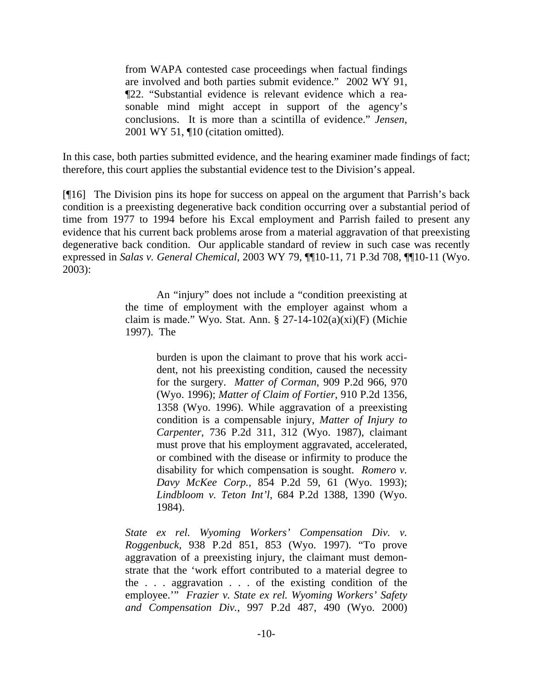from WAPA contested case proceedings when factual findings are involved and both parties submit evidence." 2002 WY 91, ¶22. "Substantial evidence is relevant evidence which a reasonable mind might accept in support of the agency's conclusions. It is more than a scintilla of evidence." *Jensen*, 2001 WY 51, ¶10 (citation omitted).

In this case, both parties submitted evidence, and the hearing examiner made findings of fact; therefore, this court applies the substantial evidence test to the Division's appeal.

[¶16] The Division pins its hope for success on appeal on the argument that Parrish's back condition is a preexisting degenerative back condition occurring over a substantial period of time from 1977 to 1994 before his Excal employment and Parrish failed to present any evidence that his current back problems arose from a material aggravation of that preexisting degenerative back condition. Our applicable standard of review in such case was recently expressed in *Salas v. General Chemical*, 2003 WY 79, ¶¶10-11, 71 P.3d 708, ¶¶10-11 (Wyo. 2003):

> An "injury" does not include a "condition preexisting at the time of employment with the employer against whom a claim is made." Wyo. Stat. Ann. § 27-14-102(a)(xi)(F) (Michie 1997). The

> > burden is upon the claimant to prove that his work accident, not his preexisting condition, caused the necessity for the surgery. *Matter of Corman*, 909 P.2d 966, 970 (Wyo. 1996); *Matter of Claim of Fortier*, 910 P.2d 1356, 1358 (Wyo. 1996). While aggravation of a preexisting condition is a compensable injury, *Matter of Injury to Carpenter*, 736 P.2d 311, 312 (Wyo. 1987), claimant must prove that his employment aggravated, accelerated, or combined with the disease or infirmity to produce the disability for which compensation is sought. *Romero v. Davy McKee Corp.*, 854 P.2d 59, 61 (Wyo. 1993); *Lindbloom v. Teton Int'l*, 684 P.2d 1388, 1390 (Wyo. 1984).

*State ex rel. Wyoming Workers' Compensation Div. v. Roggenbuck*, 938 P.2d 851, 853 (Wyo. 1997). "To prove aggravation of a preexisting injury, the claimant must demonstrate that the 'work effort contributed to a material degree to the . . . aggravation . . . of the existing condition of the employee.'" *Frazier v. State ex rel. Wyoming Workers' Safety and Compensation Div.*, 997 P.2d 487, 490 (Wyo. 2000)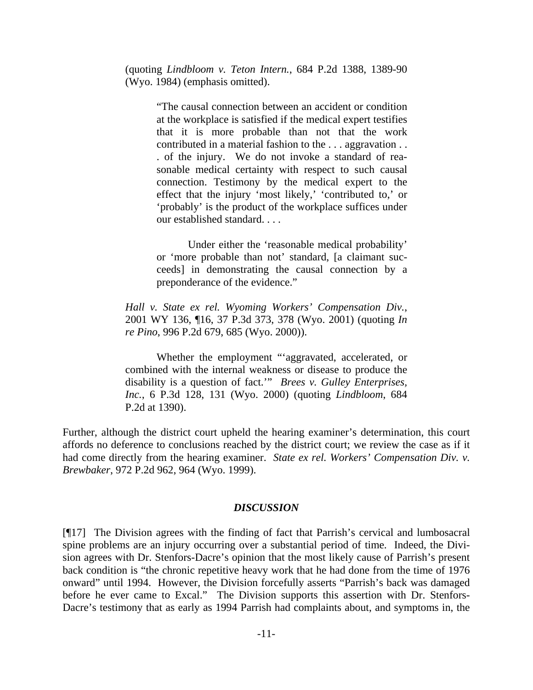(quoting *Lindbloom v. Teton Intern.*, 684 P.2d 1388, 1389-90 (Wyo. 1984) (emphasis omitted).

> "The causal connection between an accident or condition at the workplace is satisfied if the medical expert testifies that it is more probable than not that the work contributed in a material fashion to the . . . aggravation . . . of the injury. We do not invoke a standard of reasonable medical certainty with respect to such causal connection. Testimony by the medical expert to the effect that the injury 'most likely,' 'contributed to,' or 'probably' is the product of the workplace suffices under our established standard. . . .

> Under either the 'reasonable medical probability' or 'more probable than not' standard, [a claimant succeeds] in demonstrating the causal connection by a preponderance of the evidence."

*Hall v. State ex rel. Wyoming Workers' Compensation Div.*, 2001 WY 136, ¶16, 37 P.3d 373, 378 (Wyo. 2001) (quoting *In re Pino*, 996 P.2d 679, 685 (Wyo. 2000)).

 Whether the employment "'aggravated, accelerated, or combined with the internal weakness or disease to produce the disability is a question of fact.'" *Brees v. Gulley Enterprises, Inc.*, 6 P.3d 128, 131 (Wyo. 2000) (quoting *Lindbloom*, 684 P.2d at 1390).

Further, although the district court upheld the hearing examiner's determination, this court affords no deference to conclusions reached by the district court; we review the case as if it had come directly from the hearing examiner. *State ex rel. Workers' Compensation Div. v. Brewbaker*, 972 P.2d 962, 964 (Wyo. 1999).

#### *DISCUSSION*

[¶17] The Division agrees with the finding of fact that Parrish's cervical and lumbosacral spine problems are an injury occurring over a substantial period of time. Indeed, the Division agrees with Dr. Stenfors-Dacre's opinion that the most likely cause of Parrish's present back condition is "the chronic repetitive heavy work that he had done from the time of 1976 onward" until 1994. However, the Division forcefully asserts "Parrish's back was damaged before he ever came to Excal." The Division supports this assertion with Dr. Stenfors-Dacre's testimony that as early as 1994 Parrish had complaints about, and symptoms in, the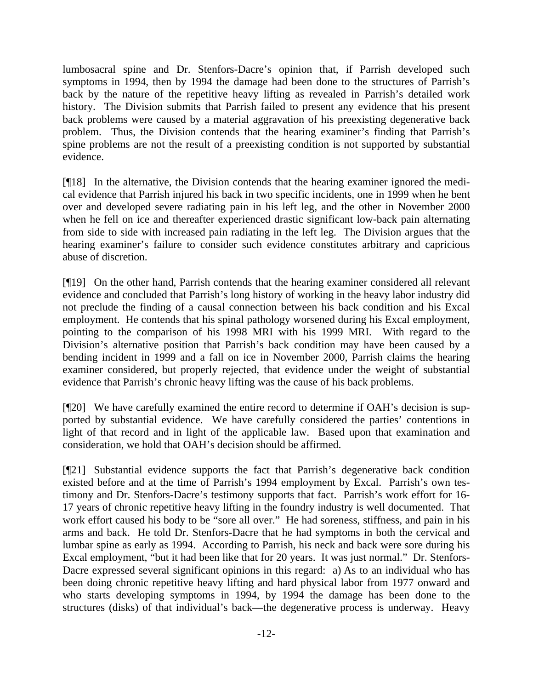lumbosacral spine and Dr. Stenfors-Dacre's opinion that, if Parrish developed such symptoms in 1994, then by 1994 the damage had been done to the structures of Parrish's back by the nature of the repetitive heavy lifting as revealed in Parrish's detailed work history. The Division submits that Parrish failed to present any evidence that his present back problems were caused by a material aggravation of his preexisting degenerative back problem. Thus, the Division contends that the hearing examiner's finding that Parrish's spine problems are not the result of a preexisting condition is not supported by substantial evidence.

[¶18] In the alternative, the Division contends that the hearing examiner ignored the medical evidence that Parrish injured his back in two specific incidents, one in 1999 when he bent over and developed severe radiating pain in his left leg, and the other in November 2000 when he fell on ice and thereafter experienced drastic significant low-back pain alternating from side to side with increased pain radiating in the left leg. The Division argues that the hearing examiner's failure to consider such evidence constitutes arbitrary and capricious abuse of discretion.

[¶19] On the other hand, Parrish contends that the hearing examiner considered all relevant evidence and concluded that Parrish's long history of working in the heavy labor industry did not preclude the finding of a causal connection between his back condition and his Excal employment. He contends that his spinal pathology worsened during his Excal employment, pointing to the comparison of his 1998 MRI with his 1999 MRI. With regard to the Division's alternative position that Parrish's back condition may have been caused by a bending incident in 1999 and a fall on ice in November 2000, Parrish claims the hearing examiner considered, but properly rejected, that evidence under the weight of substantial evidence that Parrish's chronic heavy lifting was the cause of his back problems.

[¶20] We have carefully examined the entire record to determine if OAH's decision is supported by substantial evidence. We have carefully considered the parties' contentions in light of that record and in light of the applicable law. Based upon that examination and consideration, we hold that OAH's decision should be affirmed.

[¶21] Substantial evidence supports the fact that Parrish's degenerative back condition existed before and at the time of Parrish's 1994 employment by Excal. Parrish's own testimony and Dr. Stenfors-Dacre's testimony supports that fact. Parrish's work effort for 16- 17 years of chronic repetitive heavy lifting in the foundry industry is well documented. That work effort caused his body to be "sore all over." He had soreness, stiffness, and pain in his arms and back. He told Dr. Stenfors-Dacre that he had symptoms in both the cervical and lumbar spine as early as 1994. According to Parrish, his neck and back were sore during his Excal employment, "but it had been like that for 20 years. It was just normal." Dr. Stenfors-Dacre expressed several significant opinions in this regard: a) As to an individual who has been doing chronic repetitive heavy lifting and hard physical labor from 1977 onward and who starts developing symptoms in 1994, by 1994 the damage has been done to the structures (disks) of that individual's back—the degenerative process is underway. Heavy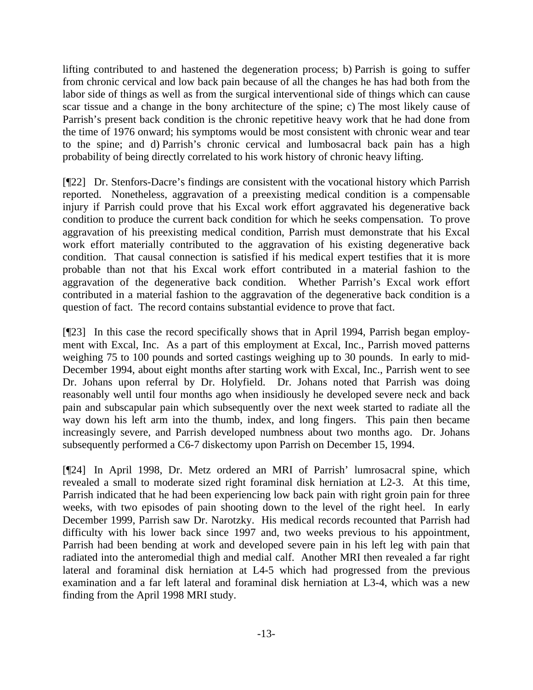lifting contributed to and hastened the degeneration process; b) Parrish is going to suffer from chronic cervical and low back pain because of all the changes he has had both from the labor side of things as well as from the surgical interventional side of things which can cause scar tissue and a change in the bony architecture of the spine; c) The most likely cause of Parrish's present back condition is the chronic repetitive heavy work that he had done from the time of 1976 onward; his symptoms would be most consistent with chronic wear and tear to the spine; and d) Parrish's chronic cervical and lumbosacral back pain has a high probability of being directly correlated to his work history of chronic heavy lifting.

[¶22] Dr. Stenfors-Dacre's findings are consistent with the vocational history which Parrish reported. Nonetheless, aggravation of a preexisting medical condition is a compensable injury if Parrish could prove that his Excal work effort aggravated his degenerative back condition to produce the current back condition for which he seeks compensation. To prove aggravation of his preexisting medical condition, Parrish must demonstrate that his Excal work effort materially contributed to the aggravation of his existing degenerative back condition. That causal connection is satisfied if his medical expert testifies that it is more probable than not that his Excal work effort contributed in a material fashion to the aggravation of the degenerative back condition. Whether Parrish's Excal work effort contributed in a material fashion to the aggravation of the degenerative back condition is a question of fact. The record contains substantial evidence to prove that fact.

[¶23] In this case the record specifically shows that in April 1994, Parrish began employment with Excal, Inc. As a part of this employment at Excal, Inc., Parrish moved patterns weighing 75 to 100 pounds and sorted castings weighing up to 30 pounds. In early to mid-December 1994, about eight months after starting work with Excal, Inc., Parrish went to see Dr. Johans upon referral by Dr. Holyfield. Dr. Johans noted that Parrish was doing reasonably well until four months ago when insidiously he developed severe neck and back pain and subscapular pain which subsequently over the next week started to radiate all the way down his left arm into the thumb, index, and long fingers. This pain then became increasingly severe, and Parrish developed numbness about two months ago. Dr. Johans subsequently performed a C6-7 diskectomy upon Parrish on December 15, 1994.

[¶24] In April 1998, Dr. Metz ordered an MRI of Parrish' lumrosacral spine, which revealed a small to moderate sized right foraminal disk herniation at L2-3. At this time, Parrish indicated that he had been experiencing low back pain with right groin pain for three weeks, with two episodes of pain shooting down to the level of the right heel. In early December 1999, Parrish saw Dr. Narotzky. His medical records recounted that Parrish had difficulty with his lower back since 1997 and, two weeks previous to his appointment, Parrish had been bending at work and developed severe pain in his left leg with pain that radiated into the anteromedial thigh and medial calf. Another MRI then revealed a far right lateral and foraminal disk herniation at L4-5 which had progressed from the previous examination and a far left lateral and foraminal disk herniation at L3-4, which was a new finding from the April 1998 MRI study.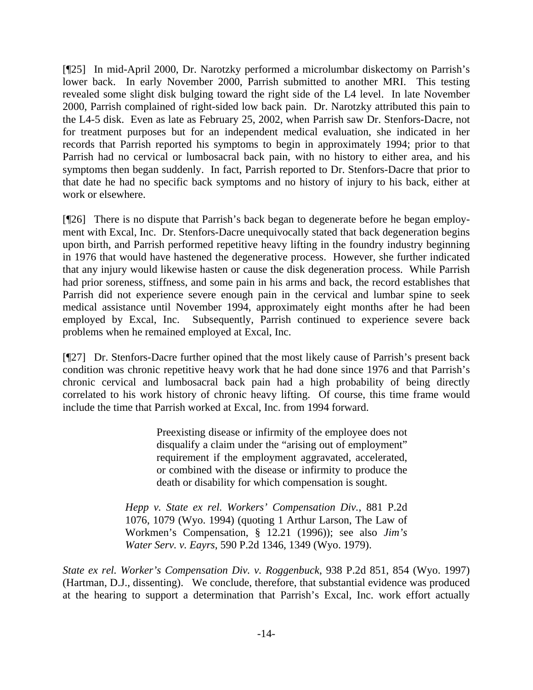[¶25] In mid-April 2000, Dr. Narotzky performed a microlumbar diskectomy on Parrish's lower back. In early November 2000, Parrish submitted to another MRI. This testing revealed some slight disk bulging toward the right side of the L4 level. In late November 2000, Parrish complained of right-sided low back pain. Dr. Narotzky attributed this pain to the L4-5 disk. Even as late as February 25, 2002, when Parrish saw Dr. Stenfors-Dacre, not for treatment purposes but for an independent medical evaluation, she indicated in her records that Parrish reported his symptoms to begin in approximately 1994; prior to that Parrish had no cervical or lumbosacral back pain, with no history to either area, and his symptoms then began suddenly. In fact, Parrish reported to Dr. Stenfors-Dacre that prior to that date he had no specific back symptoms and no history of injury to his back, either at work or elsewhere.

[¶26] There is no dispute that Parrish's back began to degenerate before he began employment with Excal, Inc. Dr. Stenfors-Dacre unequivocally stated that back degeneration begins upon birth, and Parrish performed repetitive heavy lifting in the foundry industry beginning in 1976 that would have hastened the degenerative process. However, she further indicated that any injury would likewise hasten or cause the disk degeneration process. While Parrish had prior soreness, stiffness, and some pain in his arms and back, the record establishes that Parrish did not experience severe enough pain in the cervical and lumbar spine to seek medical assistance until November 1994, approximately eight months after he had been employed by Excal, Inc. Subsequently, Parrish continued to experience severe back problems when he remained employed at Excal, Inc.

[¶27] Dr. Stenfors-Dacre further opined that the most likely cause of Parrish's present back condition was chronic repetitive heavy work that he had done since 1976 and that Parrish's chronic cervical and lumbosacral back pain had a high probability of being directly correlated to his work history of chronic heavy lifting. Of course, this time frame would include the time that Parrish worked at Excal, Inc. from 1994 forward.

> Preexisting disease or infirmity of the employee does not disqualify a claim under the "arising out of employment" requirement if the employment aggravated, accelerated, or combined with the disease or infirmity to produce the death or disability for which compensation is sought.

*Hepp v. State ex rel. Workers' Compensation Div.*, 881 P.2d 1076, 1079 (Wyo. 1994) (quoting 1 Arthur Larson, The Law of Workmen's Compensation, § 12.21 (1996)); see also *Jim's Water Serv. v. Eayrs*, 590 P.2d 1346, 1349 (Wyo. 1979).

*State ex rel. Worker's Compensation Div. v. Roggenbuck*, 938 P.2d 851, 854 (Wyo. 1997) (Hartman, D.J., dissenting). We conclude, therefore, that substantial evidence was produced at the hearing to support a determination that Parrish's Excal, Inc. work effort actually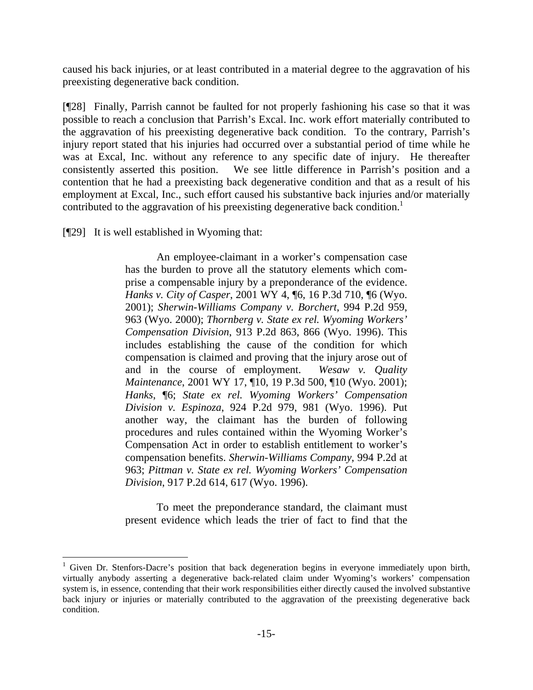caused his back injuries, or at least contributed in a material degree to the aggravation of his preexisting degenerative back condition.

[¶28] Finally, Parrish cannot be faulted for not properly fashioning his case so that it was possible to reach a conclusion that Parrish's Excal. Inc. work effort materially contributed to the aggravation of his preexisting degenerative back condition. To the contrary, Parrish's injury report stated that his injuries had occurred over a substantial period of time while he was at Excal, Inc. without any reference to any specific date of injury. He thereafter consistently asserted this position. We see little difference in Parrish's position and a contention that he had a preexisting back degenerative condition and that as a result of his employment at Excal, Inc., such effort caused his substantive back injuries and/or materially contributed to the aggravation of his preexisting degenerative back condition.<sup>1</sup>

[¶29] It is well established in Wyoming that:

 An employee-claimant in a worker's compensation case has the burden to prove all the statutory elements which comprise a compensable injury by a preponderance of the evidence. *Hanks v. City of Casper*, 2001 WY 4, ¶6, 16 P.3d 710, ¶6 (Wyo. 2001); *Sherwin-Williams Company v. Borchert*, 994 P.2d 959, 963 (Wyo. 2000); *Thornberg v. State ex rel. Wyoming Workers' Compensation Division*, 913 P.2d 863, 866 (Wyo. 1996). This includes establishing the cause of the condition for which compensation is claimed and proving that the injury arose out of and in the course of employment. *Wesaw v. Quality Maintenance*, 2001 WY 17, ¶10, 19 P.3d 500, ¶10 (Wyo. 2001); *Hanks*, ¶6; *State ex rel. Wyoming Workers' Compensation Division v. Espinoza*, 924 P.2d 979, 981 (Wyo. 1996). Put another way, the claimant has the burden of following procedures and rules contained within the Wyoming Worker's Compensation Act in order to establish entitlement to worker's compensation benefits. *Sherwin-Williams Company*, 994 P.2d at 963; *Pittman v. State ex rel. Wyoming Workers' Compensation Division*, 917 P.2d 614, 617 (Wyo. 1996).

 To meet the preponderance standard, the claimant must present evidence which leads the trier of fact to find that the

<sup>&</sup>lt;sup>1</sup> Given Dr. Stenfors-Dacre's position that back degeneration begins in everyone immediately upon birth, virtually anybody asserting a degenerative back-related claim under Wyoming's workers' compensation system is, in essence, contending that their work responsibilities either directly caused the involved substantive back injury or injuries or materially contributed to the aggravation of the preexisting degenerative back condition.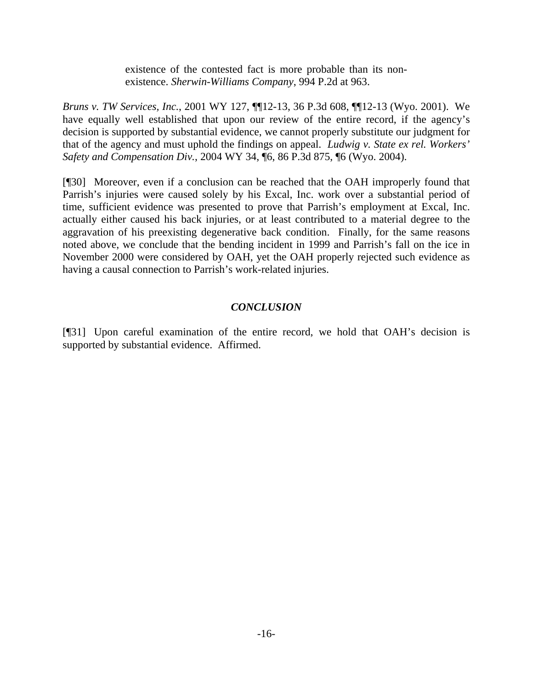existence of the contested fact is more probable than its nonexistence. *Sherwin-Williams Company*, 994 P.2d at 963.

*Bruns v. TW Services, Inc.*, 2001 WY 127, ¶¶12-13, 36 P.3d 608, ¶¶12-13 (Wyo. 2001). We have equally well established that upon our review of the entire record, if the agency's decision is supported by substantial evidence, we cannot properly substitute our judgment for that of the agency and must uphold the findings on appeal. *Ludwig v. State ex rel. Workers' Safety and Compensation Div.*, 2004 WY 34, ¶6, 86 P.3d 875, ¶6 (Wyo. 2004).

[¶30] Moreover, even if a conclusion can be reached that the OAH improperly found that Parrish's injuries were caused solely by his Excal, Inc. work over a substantial period of time, sufficient evidence was presented to prove that Parrish's employment at Excal, Inc. actually either caused his back injuries, or at least contributed to a material degree to the aggravation of his preexisting degenerative back condition. Finally, for the same reasons noted above, we conclude that the bending incident in 1999 and Parrish's fall on the ice in November 2000 were considered by OAH, yet the OAH properly rejected such evidence as having a causal connection to Parrish's work-related injuries.

# *CONCLUSION*

[¶31] Upon careful examination of the entire record, we hold that OAH's decision is supported by substantial evidence. Affirmed.